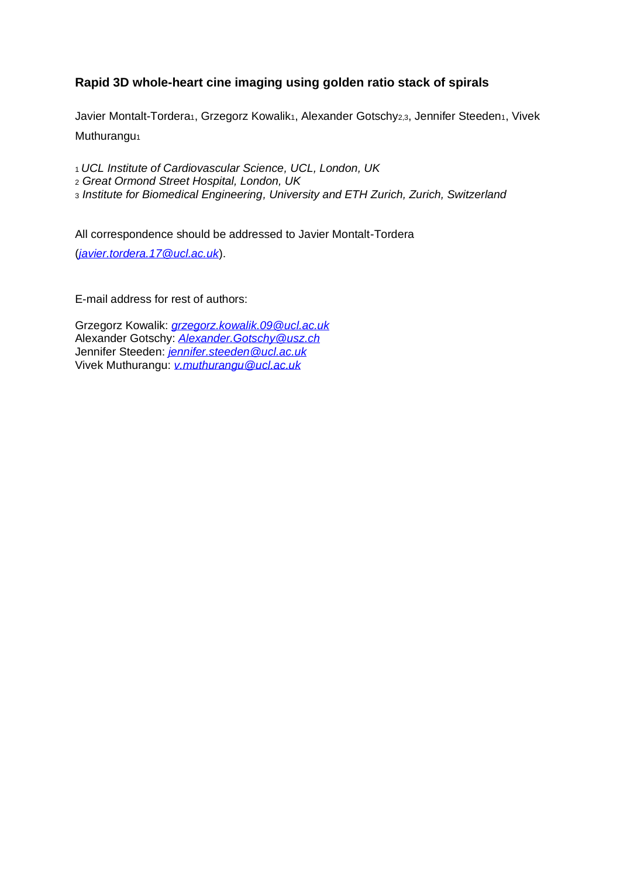# **Rapid 3D whole-heart cine imaging using golden ratio stack of spirals**

Javier Montalt-Tordera1, Grzegorz Kowalik1, Alexander Gotschy2,3, Jennifer Steeden1, Vivek Muthurangu<sub>1</sub>

<sup>1</sup>*UCL Institute of Cardiovascular Science, UCL, London, UK* <sup>2</sup> *Great Ormond Street Hospital, London, UK* <sup>3</sup> *Institute for Biomedical Engineering, University and ETH Zurich, Zurich, Switzerland*

All correspondence should be addressed to Javier Montalt-Tordera (*[javier.tordera.17@ucl.ac.uk](mailto:javier.tordera.17@ucl.ac.uk)*).

E-mail address for rest of authors:

Grzegorz Kowalik: *[grzegorz.kowalik.09@ucl.ac.uk](mailto:grzegorz.kowalik.09@ucl.ac.uk)* Alexander Gotschy: *[Alexander.Gotschy@usz.ch](mailto:Alexander.Gotschy@usz.ch)* Jennifer Steeden: *[jennifer.steeden@ucl.ac.uk](mailto:jennifer.steeden@ucl.ac.uk)* Vivek Muthurangu: *[v.muthurangu@ucl.ac.uk](mailto:v.muthurangu@ucl.ac.uk)*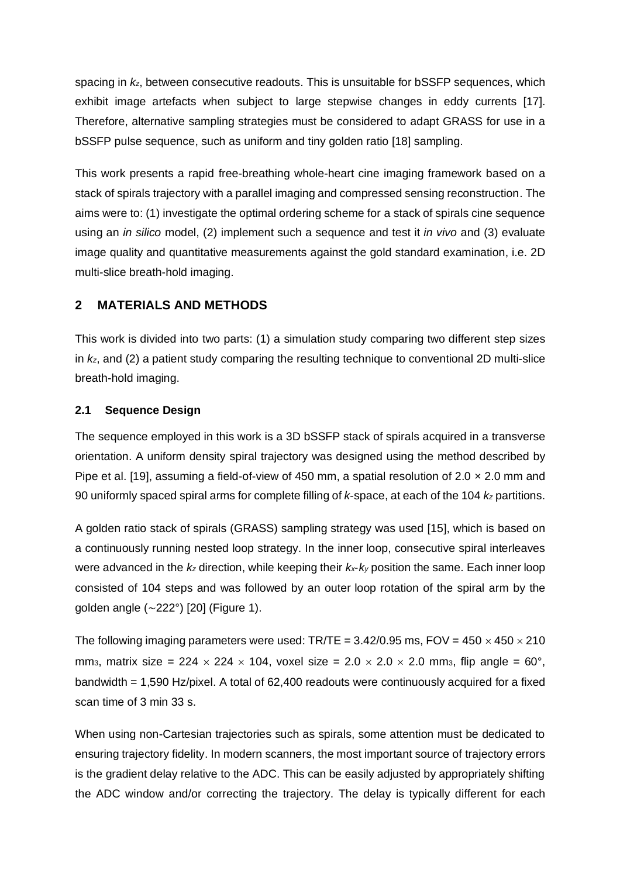spacing in *kz*, between consecutive readouts. This is unsuitable for bSSFP sequences, which exhibit image artefacts when subject to large stepwise changes in eddy currents [17]. Therefore, alternative sampling strategies must be considered to adapt GRASS for use in a bSSFP pulse sequence, such as uniform and tiny golden ratio [18] sampling.

This work presents a rapid free-breathing whole-heart cine imaging framework based on a stack of spirals trajectory with a parallel imaging and compressed sensing reconstruction. The aims were to: (1) investigate the optimal ordering scheme for a stack of spirals cine sequence using an *in silico* model, (2) implement such a sequence and test it *in vivo* and (3) evaluate image quality and quantitative measurements against the gold standard examination, i.e. 2D multi-slice breath-hold imaging.

## **2 MATERIALS AND METHODS**

This work is divided into two parts: (1) a simulation study comparing two different step sizes in *kz*, and (2) a patient study comparing the resulting technique to conventional 2D multi-slice breath-hold imaging.

## **2.1 Sequence Design**

The sequence employed in this work is a 3D bSSFP stack of spirals acquired in a transverse orientation. A uniform density spiral trajectory was designed using the method described by Pipe et al. [19], assuming a field-of-view of 450 mm, a spatial resolution of 2.0  $\times$  2.0 mm and 90 uniformly spaced spiral arms for complete filling of *k*-space, at each of the 104 *k<sup>z</sup>* partitions.

A golden ratio stack of spirals (GRASS) sampling strategy was used [15], which is based on a continuously running nested loop strategy. In the inner loop, consecutive spiral interleaves were advanced in the *k<sup>z</sup>* direction, while keeping their *kx*‐*k<sup>y</sup>* position the same. Each inner loop consisted of 104 steps and was followed by an outer loop rotation of the spiral arm by the golden angle (∼222°) [20] (Figure 1).

The following imaging parameters were used: TR/TE =  $3.42/0.95$  ms, FOV =  $450 \times 450 \times 210$ mm<sub>3</sub>, matrix size = 224  $\times$  224  $\times$  104, voxel size = 2.0  $\times$  2.0  $\times$  2.0 mm<sub>3</sub>, flip angle = 60°, bandwidth = 1,590 Hz/pixel. A total of 62,400 readouts were continuously acquired for a fixed scan time of 3 min 33 s.

When using non-Cartesian trajectories such as spirals, some attention must be dedicated to ensuring trajectory fidelity. In modern scanners, the most important source of trajectory errors is the gradient delay relative to the ADC. This can be easily adjusted by appropriately shifting the ADC window and/or correcting the trajectory. The delay is typically different for each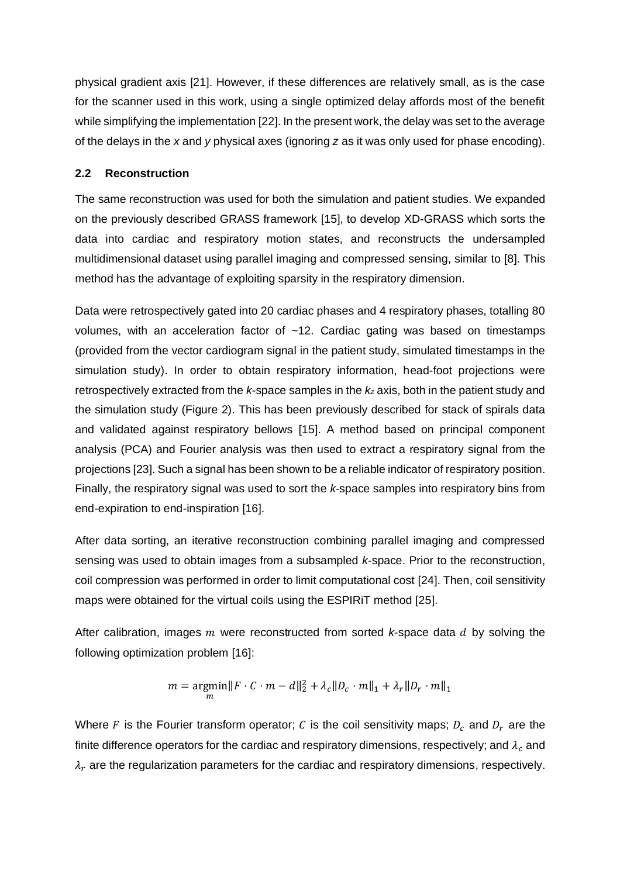physical gradient axis [21]. However, if these differences are relatively small, as is the case for the scanner used in this work, using a single optimized delay affords most of the benefit while simplifying the implementation [22]. In the present work, the delay was set to the average of the delays in the *x* and *y* physical axes (ignoring *z* as it was only used for phase encoding).

## **2.2 Reconstruction**

The same reconstruction was used for both the simulation and patient studies. We expanded on the previously described GRASS framework [15], to develop XD-GRASS which sorts the data into cardiac and respiratory motion states, and reconstructs the undersampled multidimensional dataset using parallel imaging and compressed sensing, similar to [8]. This method has the advantage of exploiting sparsity in the respiratory dimension.

Data were retrospectively gated into 20 cardiac phases and 4 respiratory phases, totalling 80 volumes, with an acceleration factor of ~12. Cardiac gating was based on timestamps (provided from the vector cardiogram signal in the patient study, simulated timestamps in the simulation study). In order to obtain respiratory information, head-foot projections were retrospectively extracted from the *k*-space samples in the *k<sup>z</sup>* axis, both in the patient study and the simulation study (Figure 2). This has been previously described for stack of spirals data and validated against respiratory bellows [15]. A method based on principal component analysis (PCA) and Fourier analysis was then used to extract a respiratory signal from the projections [23]. Such a signal has been shown to be a reliable indicator of respiratory position. Finally, the respiratory signal was used to sort the *k*-space samples into respiratory bins from end-expiration to end-inspiration [16].

After data sorting, an iterative reconstruction combining parallel imaging and compressed sensing was used to obtain images from a subsampled *k*-space. Prior to the reconstruction, coil compression was performed in order to limit computational cost [24]. Then, coil sensitivity maps were obtained for the virtual coils using the ESPIRiT method [25].

After calibration, images m were reconstructed from sorted *k*-space data d by solving the following optimization problem [16]:

$$
m = \underset{m}{\text{argmin}} ||F \cdot C \cdot m - d||_2^2 + \lambda_c ||D_c \cdot m||_1 + \lambda_r ||D_r \cdot m||_1
$$

Where F is the Fourier transform operator; C is the coil sensitivity maps;  $D_c$  and  $D_r$  are the finite difference operators for the cardiac and respiratory dimensions, respectively; and  $\lambda_c$  and  $\lambda_r$  are the regularization parameters for the cardiac and respiratory dimensions, respectively.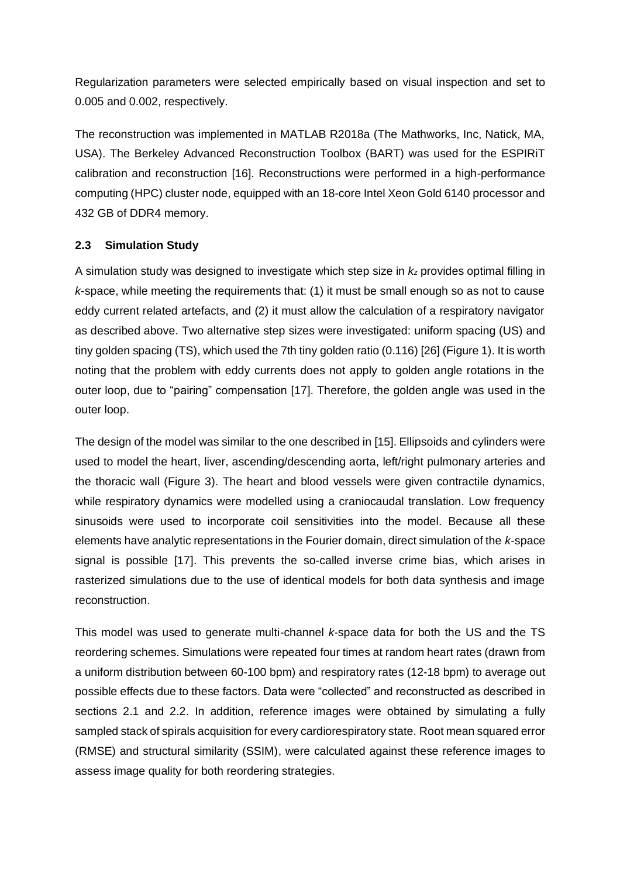Regularization parameters were selected empirically based on visual inspection and set to 0.005 and 0.002, respectively.

The reconstruction was implemented in MATLAB R2018a (The Mathworks, Inc, Natick, MA, USA). The Berkeley Advanced Reconstruction Toolbox (BART) was used for the ESPIRiT calibration and reconstruction [16]. Reconstructions were performed in a high-performance computing (HPC) cluster node, equipped with an 18-core Intel Xeon Gold 6140 processor and 432 GB of DDR4 memory.

## **2.3 Simulation Study**

A simulation study was designed to investigate which step size in *k<sup>z</sup>* provides optimal filling in *k*-space, while meeting the requirements that: (1) it must be small enough so as not to cause eddy current related artefacts, and (2) it must allow the calculation of a respiratory navigator as described above. Two alternative step sizes were investigated: uniform spacing (US) and tiny golden spacing (TS), which used the 7th tiny golden ratio (0.116) [26] (Figure 1). It is worth noting that the problem with eddy currents does not apply to golden angle rotations in the outer loop, due to "pairing" compensation [17]. Therefore, the golden angle was used in the outer loop.

The design of the model was similar to the one described in [15]. Ellipsoids and cylinders were used to model the heart, liver, ascending/descending aorta, left/right pulmonary arteries and the thoracic wall (Figure 3). The heart and blood vessels were given contractile dynamics, while respiratory dynamics were modelled using a craniocaudal translation. Low frequency sinusoids were used to incorporate coil sensitivities into the model. Because all these elements have analytic representations in the Fourier domain, direct simulation of the *k*-space signal is possible [17]. This prevents the so-called inverse crime bias, which arises in rasterized simulations due to the use of identical models for both data synthesis and image reconstruction.

This model was used to generate multi-channel *k*-space data for both the US and the TS reordering schemes. Simulations were repeated four times at random heart rates (drawn from a uniform distribution between 60-100 bpm) and respiratory rates (12-18 bpm) to average out possible effects due to these factors. Data were "collected" and reconstructed as described in sections 2.1 and 2.2. In addition, reference images were obtained by simulating a fully sampled stack of spirals acquisition for every cardiorespiratory state. Root mean squared error (RMSE) and structural similarity (SSIM), were calculated against these reference images to assess image quality for both reordering strategies.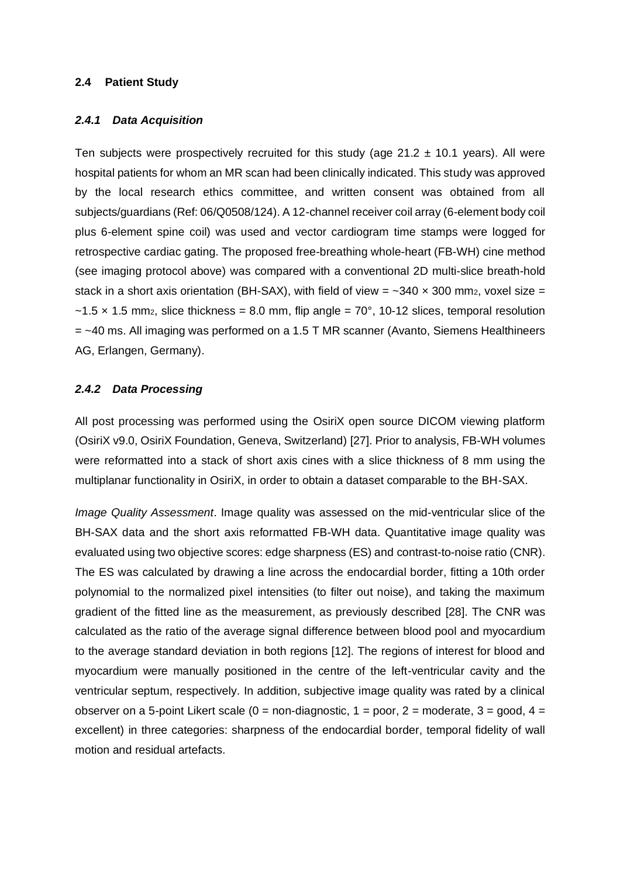#### **2.4 Patient Study**

#### *2.4.1 Data Acquisition*

Ten subjects were prospectively recruited for this study (age  $21.2 \pm 10.1$  years). All were hospital patients for whom an MR scan had been clinically indicated. This study was approved by the local research ethics committee, and written consent was obtained from all subjects/guardians (Ref: 06/Q0508/124). A 12-channel receiver coil array (6-element body coil plus 6-element spine coil) was used and vector cardiogram time stamps were logged for retrospective cardiac gating. The proposed free-breathing whole-heart (FB-WH) cine method (see imaging protocol above) was compared with a conventional 2D multi-slice breath-hold stack in a short axis orientation (BH-SAX), with field of view =  $\sim$ 340  $\times$  300 mm<sub>2</sub>, voxel size =  $-1.5 \times 1.5$  mm<sub>2</sub>, slice thickness = 8.0 mm, flip angle = 70°, 10-12 slices, temporal resolution  $=$  ~40 ms. All imaging was performed on a 1.5 T MR scanner (Avanto, Siemens Healthineers AG, Erlangen, Germany).

#### *2.4.2 Data Processing*

All post processing was performed using the OsiriX open source DICOM viewing platform (OsiriX v9.0, OsiriX Foundation, Geneva, Switzerland) [27]. Prior to analysis, FB-WH volumes were reformatted into a stack of short axis cines with a slice thickness of 8 mm using the multiplanar functionality in OsiriX, in order to obtain a dataset comparable to the BH-SAX.

*Image Quality Assessment*. Image quality was assessed on the mid-ventricular slice of the BH-SAX data and the short axis reformatted FB-WH data. Quantitative image quality was evaluated using two objective scores: edge sharpness (ES) and contrast-to-noise ratio (CNR). The ES was calculated by drawing a line across the endocardial border, fitting a 10th order polynomial to the normalized pixel intensities (to filter out noise), and taking the maximum gradient of the fitted line as the measurement, as previously described [28]. The CNR was calculated as the ratio of the average signal difference between blood pool and myocardium to the average standard deviation in both regions [12]. The regions of interest for blood and myocardium were manually positioned in the centre of the left-ventricular cavity and the ventricular septum, respectively. In addition, subjective image quality was rated by a clinical observer on a 5-point Likert scale ( $0 =$  non-diagnostic,  $1 =$  poor,  $2 =$  moderate,  $3 =$  good,  $4 =$ excellent) in three categories: sharpness of the endocardial border, temporal fidelity of wall motion and residual artefacts.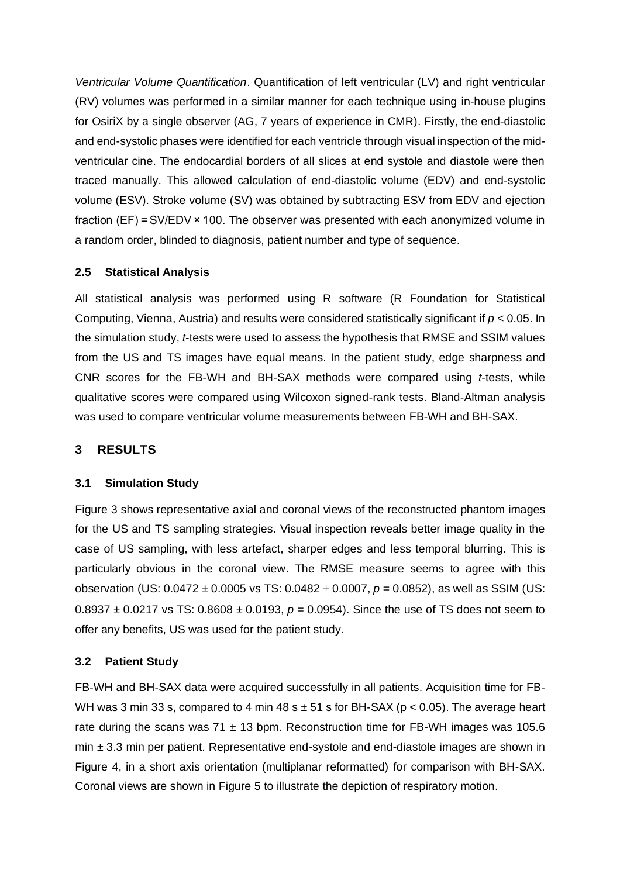*Ventricular Volume Quantification*. Quantification of left ventricular (LV) and right ventricular (RV) volumes was performed in a similar manner for each technique using in-house plugins for OsiriX by a single observer (AG, 7 years of experience in CMR). Firstly, the end-diastolic and end-systolic phases were identified for each ventricle through visual inspection of the midventricular cine. The endocardial borders of all slices at end systole and diastole were then traced manually. This allowed calculation of end-diastolic volume (EDV) and end-systolic volume (ESV). Stroke volume (SV) was obtained by subtracting ESV from EDV and ejection fraction (EF) = SV/EDV × 100. The observer was presented with each anonymized volume in a random order, blinded to diagnosis, patient number and type of sequence.

#### **2.5 Statistical Analysis**

All statistical analysis was performed using R software (R Foundation for Statistical Computing, Vienna, Austria) and results were considered statistically significant if *p* < 0.05. In the simulation study, *t*-tests were used to assess the hypothesis that RMSE and SSIM values from the US and TS images have equal means. In the patient study, edge sharpness and CNR scores for the FB-WH and BH-SAX methods were compared using *t*-tests, while qualitative scores were compared using Wilcoxon signed-rank tests. Bland-Altman analysis was used to compare ventricular volume measurements between FB-WH and BH-SAX.

#### **3 RESULTS**

#### **3.1 Simulation Study**

Figure 3 shows representative axial and coronal views of the reconstructed phantom images for the US and TS sampling strategies. Visual inspection reveals better image quality in the case of US sampling, with less artefact, sharper edges and less temporal blurring. This is particularly obvious in the coronal view. The RMSE measure seems to agree with this observation (US:  $0.0472 \pm 0.0005$  vs TS:  $0.0482 \pm 0.0007$ ,  $p = 0.0852$ ), as well as SSIM (US:  $0.8937 \pm 0.0217$  vs TS:  $0.8608 \pm 0.0193$ ,  $p = 0.0954$ ). Since the use of TS does not seem to offer any benefits, US was used for the patient study.

#### **3.2 Patient Study**

FB-WH and BH-SAX data were acquired successfully in all patients. Acquisition time for FB-WH was 3 min 33 s, compared to 4 min 48 s  $\pm$  51 s for BH-SAX (p < 0.05). The average heart rate during the scans was  $71 \pm 13$  bpm. Reconstruction time for FB-WH images was 105.6  $min \pm 3.3$  min per patient. Representative end-systole and end-diastole images are shown in Figure 4, in a short axis orientation (multiplanar reformatted) for comparison with BH-SAX. Coronal views are shown in Figure 5 to illustrate the depiction of respiratory motion.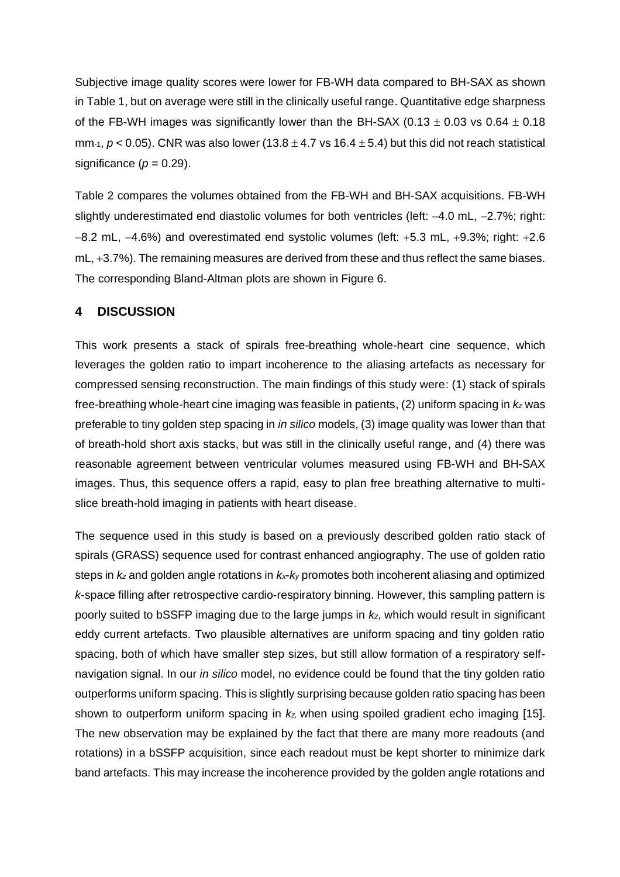Subjective image quality scores were lower for FB-WH data compared to BH-SAX as shown in Table 1, but on average were still in the clinically useful range. Quantitative edge sharpness of the FB-WH images was significantly lower than the BH-SAX (0.13  $\pm$  0.03 vs 0.64  $\pm$  0.18 mm-1,  $p < 0.05$ ). CNR was also lower (13.8  $\pm$  4.7 vs 16.4  $\pm$  5.4) but this did not reach statistical significance  $(p = 0.29)$ .

Table 2 compares the volumes obtained from the FB-WH and BH-SAX acquisitions. FB-WH slightly underestimated end diastolic volumes for both ventricles (left: −4.0 mL, −2.7%; right: −8.2 mL, −4.6%) and overestimated end systolic volumes (left: +5.3 mL, +9.3%; right: +2.6 mL, +3.7%). The remaining measures are derived from these and thus reflect the same biases. The corresponding Bland-Altman plots are shown in Figure 6.

## **4 DISCUSSION**

This work presents a stack of spirals free-breathing whole-heart cine sequence, which leverages the golden ratio to impart incoherence to the aliasing artefacts as necessary for compressed sensing reconstruction. The main findings of this study were: (1) stack of spirals free-breathing whole-heart cine imaging was feasible in patients, (2) uniform spacing in *k<sup>z</sup>* was preferable to tiny golden step spacing in *in silico* models, (3) image quality was lower than that of breath-hold short axis stacks, but was still in the clinically useful range, and (4) there was reasonable agreement between ventricular volumes measured using FB-WH and BH-SAX images. Thus, this sequence offers a rapid, easy to plan free breathing alternative to multislice breath-hold imaging in patients with heart disease.

The sequence used in this study is based on a previously described golden ratio stack of spirals (GRASS) sequence used for contrast enhanced angiography. The use of golden ratio steps in *k<sup>z</sup>* and golden angle rotations in *kx*-*k<sup>y</sup>* promotes both incoherent aliasing and optimized *k*-space filling after retrospective cardio-respiratory binning. However, this sampling pattern is poorly suited to bSSFP imaging due to the large jumps in *kz*, which would result in significant eddy current artefacts. Two plausible alternatives are uniform spacing and tiny golden ratio spacing, both of which have smaller step sizes, but still allow formation of a respiratory selfnavigation signal. In our *in silico* model, no evidence could be found that the tiny golden ratio outperforms uniform spacing. This is slightly surprising because golden ratio spacing has been shown to outperform uniform spacing in *kz,* when using spoiled gradient echo imaging [15]. The new observation may be explained by the fact that there are many more readouts (and rotations) in a bSSFP acquisition, since each readout must be kept shorter to minimize dark band artefacts. This may increase the incoherence provided by the golden angle rotations and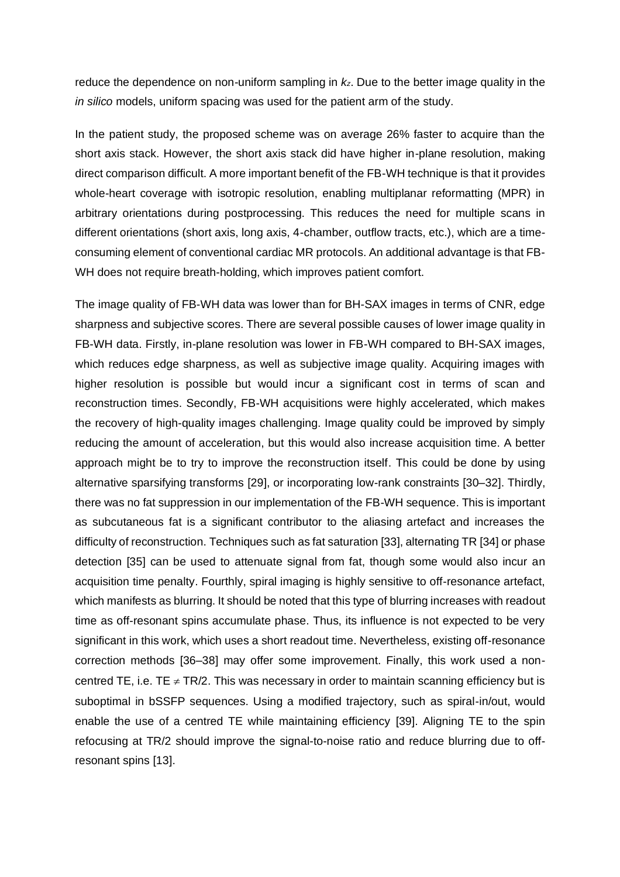reduce the dependence on non-uniform sampling in *kz*. Due to the better image quality in the *in silico* models, uniform spacing was used for the patient arm of the study.

In the patient study, the proposed scheme was on average 26% faster to acquire than the short axis stack. However, the short axis stack did have higher in-plane resolution, making direct comparison difficult. A more important benefit of the FB-WH technique is that it provides whole-heart coverage with isotropic resolution, enabling multiplanar reformatting (MPR) in arbitrary orientations during postprocessing. This reduces the need for multiple scans in different orientations (short axis, long axis, 4-chamber, outflow tracts, etc.), which are a timeconsuming element of conventional cardiac MR protocols. An additional advantage is that FB-WH does not require breath-holding, which improves patient comfort.

The image quality of FB-WH data was lower than for BH-SAX images in terms of CNR, edge sharpness and subjective scores. There are several possible causes of lower image quality in FB-WH data. Firstly, in-plane resolution was lower in FB-WH compared to BH-SAX images, which reduces edge sharpness, as well as subjective image quality. Acquiring images with higher resolution is possible but would incur a significant cost in terms of scan and reconstruction times. Secondly, FB-WH acquisitions were highly accelerated, which makes the recovery of high-quality images challenging. Image quality could be improved by simply reducing the amount of acceleration, but this would also increase acquisition time. A better approach might be to try to improve the reconstruction itself. This could be done by using alternative sparsifying transforms [29], or incorporating low-rank constraints [30–32]. Thirdly, there was no fat suppression in our implementation of the FB-WH sequence. This is important as subcutaneous fat is a significant contributor to the aliasing artefact and increases the difficulty of reconstruction. Techniques such as fat saturation [33], alternating TR [34] or phase detection [35] can be used to attenuate signal from fat, though some would also incur an acquisition time penalty. Fourthly, spiral imaging is highly sensitive to off-resonance artefact, which manifests as blurring. It should be noted that this type of blurring increases with readout time as off-resonant spins accumulate phase. Thus, its influence is not expected to be very significant in this work, which uses a short readout time. Nevertheless, existing off-resonance correction methods [36–38] may offer some improvement. Finally, this work used a noncentred TE, i.e. TE  $\neq$  TR/2. This was necessary in order to maintain scanning efficiency but is suboptimal in bSSFP sequences. Using a modified trajectory, such as spiral-in/out, would enable the use of a centred TE while maintaining efficiency [39]. Aligning TE to the spin refocusing at TR/2 should improve the signal-to-noise ratio and reduce blurring due to offresonant spins [13].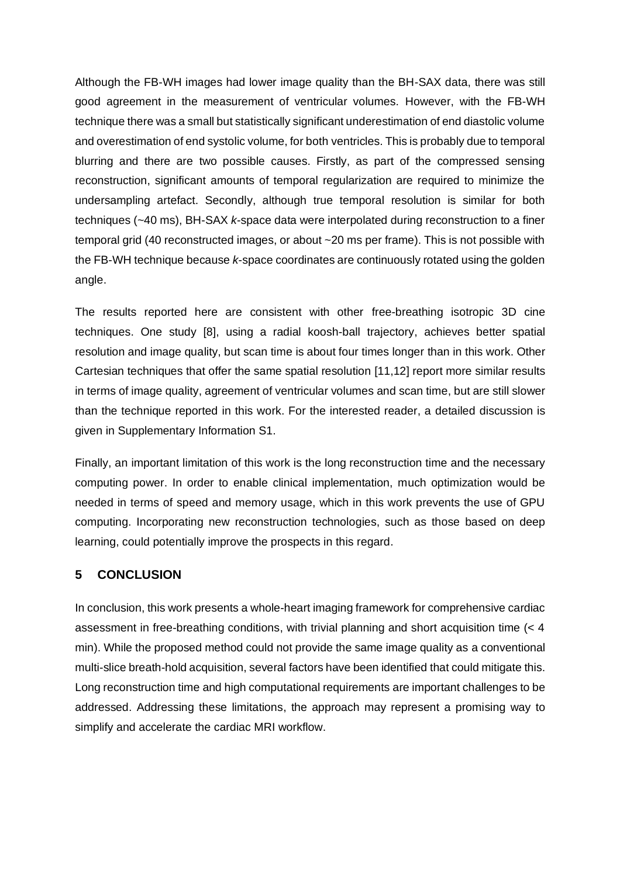Although the FB-WH images had lower image quality than the BH-SAX data, there was still good agreement in the measurement of ventricular volumes. However, with the FB-WH technique there was a small but statistically significant underestimation of end diastolic volume and overestimation of end systolic volume, for both ventricles. This is probably due to temporal blurring and there are two possible causes. Firstly, as part of the compressed sensing reconstruction, significant amounts of temporal regularization are required to minimize the undersampling artefact. Secondly, although true temporal resolution is similar for both techniques (~40 ms), BH-SAX *k*-space data were interpolated during reconstruction to a finer temporal grid (40 reconstructed images, or about ~20 ms per frame). This is not possible with the FB-WH technique because *k*-space coordinates are continuously rotated using the golden angle.

The results reported here are consistent with other free-breathing isotropic 3D cine techniques. One study [8], using a radial koosh-ball trajectory, achieves better spatial resolution and image quality, but scan time is about four times longer than in this work. Other Cartesian techniques that offer the same spatial resolution [11,12] report more similar results in terms of image quality, agreement of ventricular volumes and scan time, but are still slower than the technique reported in this work. For the interested reader, a detailed discussion is given in Supplementary Information S1.

Finally, an important limitation of this work is the long reconstruction time and the necessary computing power. In order to enable clinical implementation, much optimization would be needed in terms of speed and memory usage, which in this work prevents the use of GPU computing. Incorporating new reconstruction technologies, such as those based on deep learning, could potentially improve the prospects in this regard.

## **5 CONCLUSION**

In conclusion, this work presents a whole-heart imaging framework for comprehensive cardiac assessment in free-breathing conditions, with trivial planning and short acquisition time (< 4 min). While the proposed method could not provide the same image quality as a conventional multi-slice breath-hold acquisition, several factors have been identified that could mitigate this. Long reconstruction time and high computational requirements are important challenges to be addressed. Addressing these limitations, the approach may represent a promising way to simplify and accelerate the cardiac MRI workflow.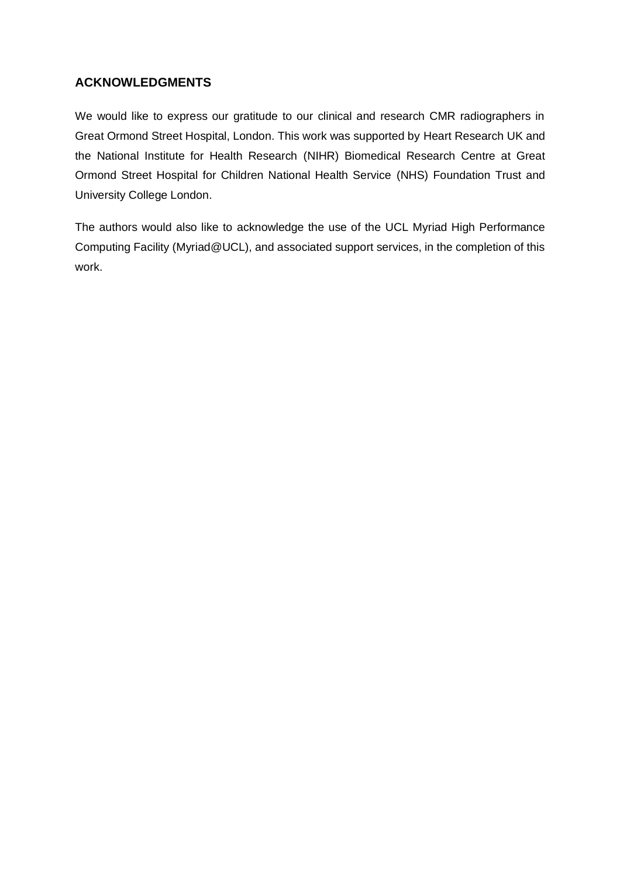# **ACKNOWLEDGMENTS**

We would like to express our gratitude to our clinical and research CMR radiographers in Great Ormond Street Hospital, London. This work was supported by Heart Research UK and the National Institute for Health Research (NIHR) Biomedical Research Centre at Great Ormond Street Hospital for Children National Health Service (NHS) Foundation Trust and University College London.

The authors would also like to acknowledge the use of the UCL Myriad High Performance Computing Facility (Myriad@UCL), and associated support services, in the completion of this work.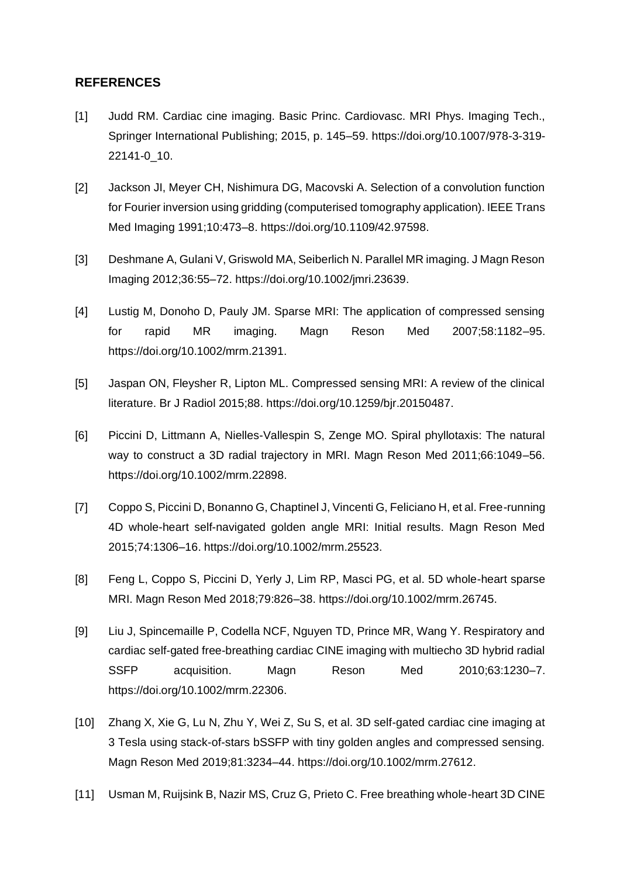## **REFERENCES**

- [1] Judd RM. Cardiac cine imaging. Basic Princ. Cardiovasc. MRI Phys. Imaging Tech., Springer International Publishing; 2015, p. 145–59. https://doi.org/10.1007/978-3-319- 22141-0\_10.
- [2] Jackson JI, Meyer CH, Nishimura DG, Macovski A. Selection of a convolution function for Fourier inversion using gridding (computerised tomography application). IEEE Trans Med Imaging 1991;10:473–8. https://doi.org/10.1109/42.97598.
- [3] Deshmane A, Gulani V, Griswold MA, Seiberlich N. Parallel MR imaging. J Magn Reson Imaging 2012;36:55–72. https://doi.org/10.1002/jmri.23639.
- [4] Lustig M, Donoho D, Pauly JM. Sparse MRI: The application of compressed sensing for rapid MR imaging. Magn Reson Med 2007;58:1182–95. https://doi.org/10.1002/mrm.21391.
- [5] Jaspan ON, Fleysher R, Lipton ML. Compressed sensing MRI: A review of the clinical literature. Br J Radiol 2015;88. https://doi.org/10.1259/bjr.20150487.
- [6] Piccini D, Littmann A, Nielles-Vallespin S, Zenge MO. Spiral phyllotaxis: The natural way to construct a 3D radial trajectory in MRI. Magn Reson Med 2011;66:1049–56. https://doi.org/10.1002/mrm.22898.
- [7] Coppo S, Piccini D, Bonanno G, Chaptinel J, Vincenti G, Feliciano H, et al. Free-running 4D whole-heart self-navigated golden angle MRI: Initial results. Magn Reson Med 2015;74:1306–16. https://doi.org/10.1002/mrm.25523.
- [8] Feng L, Coppo S, Piccini D, Yerly J, Lim RP, Masci PG, et al. 5D whole-heart sparse MRI. Magn Reson Med 2018;79:826–38. https://doi.org/10.1002/mrm.26745.
- [9] Liu J, Spincemaille P, Codella NCF, Nguyen TD, Prince MR, Wang Y. Respiratory and cardiac self-gated free-breathing cardiac CINE imaging with multiecho 3D hybrid radial SSFP acquisition. Magn Reson Med 2010;63:1230–7. https://doi.org/10.1002/mrm.22306.
- [10] Zhang X, Xie G, Lu N, Zhu Y, Wei Z, Su S, et al. 3D self-gated cardiac cine imaging at 3 Tesla using stack-of-stars bSSFP with tiny golden angles and compressed sensing. Magn Reson Med 2019;81:3234–44. https://doi.org/10.1002/mrm.27612.
- [11] Usman M, Ruijsink B, Nazir MS, Cruz G, Prieto C. Free breathing whole-heart 3D CINE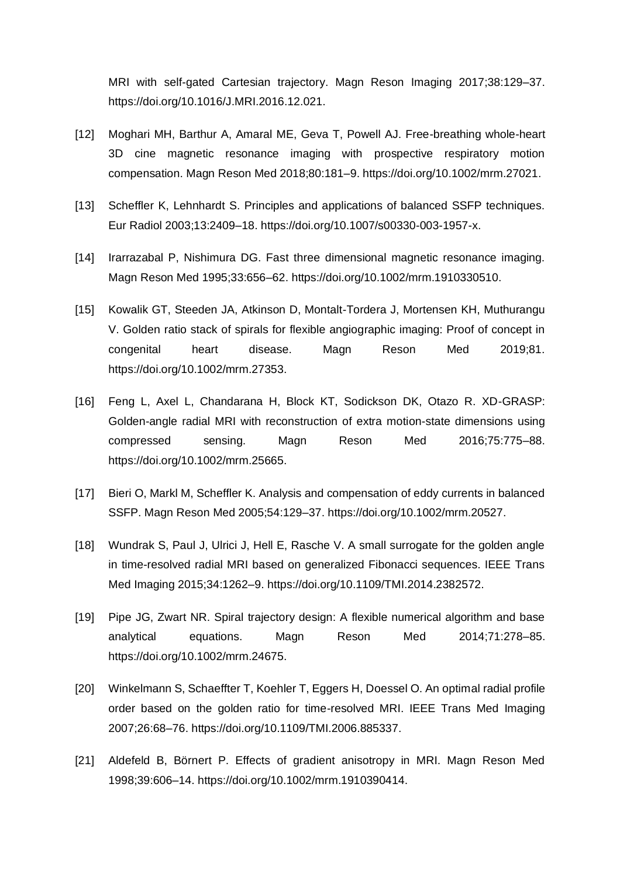MRI with self-gated Cartesian trajectory. Magn Reson Imaging 2017;38:129–37. https://doi.org/10.1016/J.MRI.2016.12.021.

- [12] Moghari MH, Barthur A, Amaral ME, Geva T, Powell AJ. Free-breathing whole-heart 3D cine magnetic resonance imaging with prospective respiratory motion compensation. Magn Reson Med 2018;80:181–9. https://doi.org/10.1002/mrm.27021.
- [13] Scheffler K, Lehnhardt S. Principles and applications of balanced SSFP techniques. Eur Radiol 2003;13:2409–18. https://doi.org/10.1007/s00330-003-1957-x.
- [14] Irarrazabal P, Nishimura DG. Fast three dimensional magnetic resonance imaging. Magn Reson Med 1995;33:656–62. https://doi.org/10.1002/mrm.1910330510.
- [15] Kowalik GT, Steeden JA, Atkinson D, Montalt-Tordera J, Mortensen KH, Muthurangu V. Golden ratio stack of spirals for flexible angiographic imaging: Proof of concept in congenital heart disease. Magn Reson Med 2019;81. https://doi.org/10.1002/mrm.27353.
- [16] Feng L, Axel L, Chandarana H, Block KT, Sodickson DK, Otazo R. XD-GRASP: Golden-angle radial MRI with reconstruction of extra motion-state dimensions using compressed sensing. Magn Reson Med 2016;75:775–88. https://doi.org/10.1002/mrm.25665.
- [17] Bieri O, Markl M, Scheffler K. Analysis and compensation of eddy currents in balanced SSFP. Magn Reson Med 2005;54:129–37. https://doi.org/10.1002/mrm.20527.
- [18] Wundrak S, Paul J, Ulrici J, Hell E, Rasche V. A small surrogate for the golden angle in time-resolved radial MRI based on generalized Fibonacci sequences. IEEE Trans Med Imaging 2015;34:1262–9. https://doi.org/10.1109/TMI.2014.2382572.
- [19] Pipe JG, Zwart NR. Spiral trajectory design: A flexible numerical algorithm and base analytical equations. Magn Reson Med 2014;71:278–85. https://doi.org/10.1002/mrm.24675.
- [20] Winkelmann S, Schaeffter T, Koehler T, Eggers H, Doessel O. An optimal radial profile order based on the golden ratio for time-resolved MRI. IEEE Trans Med Imaging 2007;26:68–76. https://doi.org/10.1109/TMI.2006.885337.
- [21] Aldefeld B, Börnert P. Effects of gradient anisotropy in MRI. Magn Reson Med 1998;39:606–14. https://doi.org/10.1002/mrm.1910390414.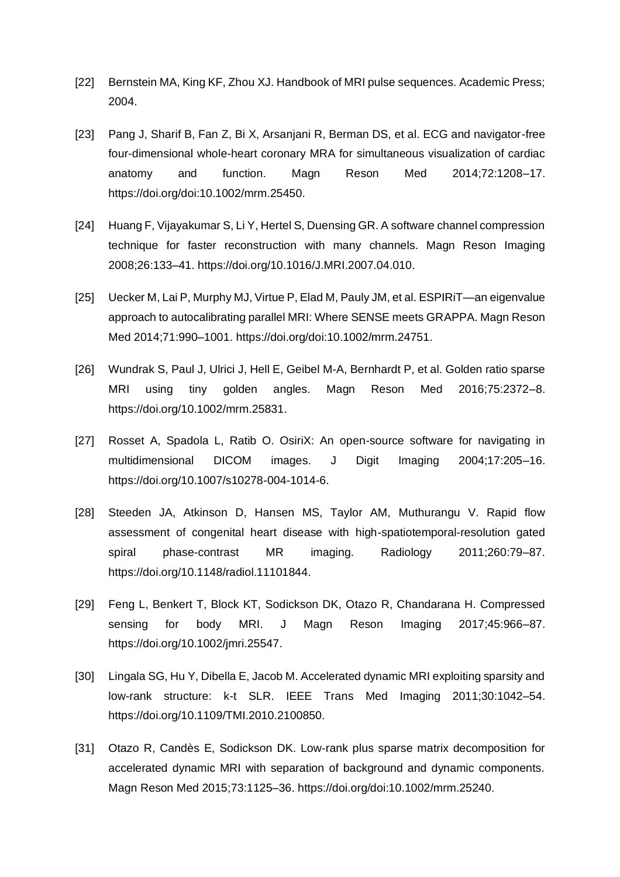- [22] Bernstein MA, King KF, Zhou XJ. Handbook of MRI pulse sequences. Academic Press; 2004.
- [23] Pang J, Sharif B, Fan Z, Bi X, Arsanjani R, Berman DS, et al. ECG and navigator-free four-dimensional whole-heart coronary MRA for simultaneous visualization of cardiac anatomy and function. Magn Reson Med 2014;72:1208–17. https://doi.org/doi:10.1002/mrm.25450.
- [24] Huang F, Vijayakumar S, Li Y, Hertel S, Duensing GR. A software channel compression technique for faster reconstruction with many channels. Magn Reson Imaging 2008;26:133–41. https://doi.org/10.1016/J.MRI.2007.04.010.
- [25] Uecker M, Lai P, Murphy MJ, Virtue P, Elad M, Pauly JM, et al. ESPIRiT—an eigenvalue approach to autocalibrating parallel MRI: Where SENSE meets GRAPPA. Magn Reson Med 2014;71:990–1001. https://doi.org/doi:10.1002/mrm.24751.
- [26] Wundrak S, Paul J, Ulrici J, Hell E, Geibel M-A, Bernhardt P, et al. Golden ratio sparse MRI using tiny golden angles. Magn Reson Med 2016;75:2372–8. https://doi.org/10.1002/mrm.25831.
- [27] Rosset A, Spadola L, Ratib O. OsiriX: An open-source software for navigating in multidimensional DICOM images. J Digit Imaging 2004;17:205–16. https://doi.org/10.1007/s10278-004-1014-6.
- [28] Steeden JA, Atkinson D, Hansen MS, Taylor AM, Muthurangu V. Rapid flow assessment of congenital heart disease with high-spatiotemporal-resolution gated spiral phase-contrast MR imaging. Radiology 2011;260:79–87. https://doi.org/10.1148/radiol.11101844.
- [29] Feng L, Benkert T, Block KT, Sodickson DK, Otazo R, Chandarana H. Compressed sensing for body MRI. J Magn Reson Imaging 2017;45:966–87. https://doi.org/10.1002/jmri.25547.
- [30] Lingala SG, Hu Y, Dibella E, Jacob M. Accelerated dynamic MRI exploiting sparsity and low-rank structure: k-t SLR. IEEE Trans Med Imaging 2011;30:1042–54. https://doi.org/10.1109/TMI.2010.2100850.
- [31] Otazo R, Candès E, Sodickson DK. Low-rank plus sparse matrix decomposition for accelerated dynamic MRI with separation of background and dynamic components. Magn Reson Med 2015;73:1125–36. https://doi.org/doi:10.1002/mrm.25240.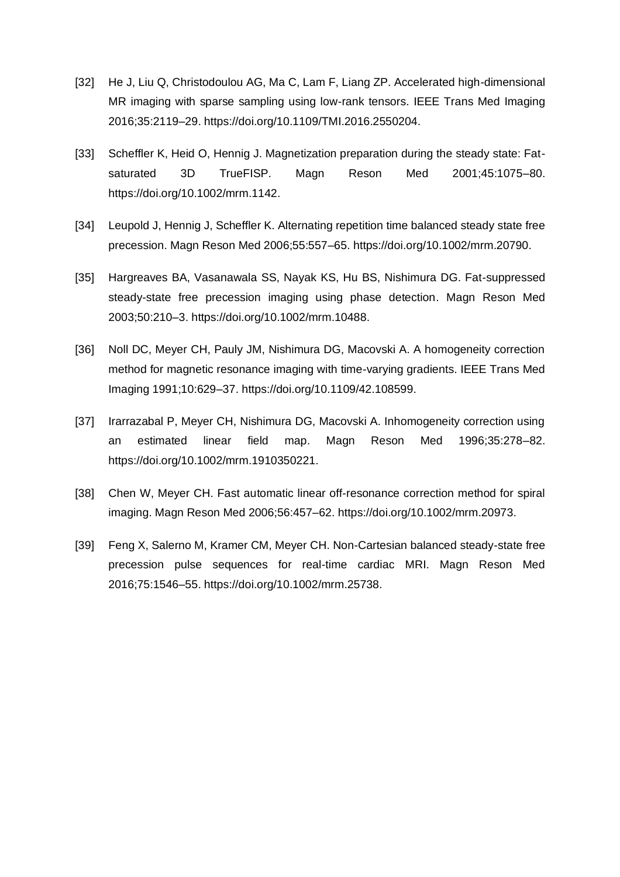- [32] He J, Liu Q, Christodoulou AG, Ma C, Lam F, Liang ZP. Accelerated high-dimensional MR imaging with sparse sampling using low-rank tensors. IEEE Trans Med Imaging 2016;35:2119–29. https://doi.org/10.1109/TMI.2016.2550204.
- [33] Scheffler K, Heid O, Hennig J. Magnetization preparation during the steady state: Fatsaturated 3D TrueFISP. Magn Reson Med 2001;45:1075–80. https://doi.org/10.1002/mrm.1142.
- [34] Leupold J, Hennig J, Scheffler K. Alternating repetition time balanced steady state free precession. Magn Reson Med 2006;55:557–65. https://doi.org/10.1002/mrm.20790.
- [35] Hargreaves BA, Vasanawala SS, Nayak KS, Hu BS, Nishimura DG. Fat-suppressed steady-state free precession imaging using phase detection. Magn Reson Med 2003;50:210–3. https://doi.org/10.1002/mrm.10488.
- [36] Noll DC, Meyer CH, Pauly JM, Nishimura DG, Macovski A. A homogeneity correction method for magnetic resonance imaging with time-varying gradients. IEEE Trans Med Imaging 1991;10:629–37. https://doi.org/10.1109/42.108599.
- [37] Irarrazabal P, Meyer CH, Nishimura DG, Macovski A. Inhomogeneity correction using an estimated linear field map. Magn Reson Med 1996;35:278–82. https://doi.org/10.1002/mrm.1910350221.
- [38] Chen W, Meyer CH. Fast automatic linear off-resonance correction method for spiral imaging. Magn Reson Med 2006;56:457–62. https://doi.org/10.1002/mrm.20973.
- [39] Feng X, Salerno M, Kramer CM, Meyer CH. Non-Cartesian balanced steady-state free precession pulse sequences for real-time cardiac MRI. Magn Reson Med 2016;75:1546–55. https://doi.org/10.1002/mrm.25738.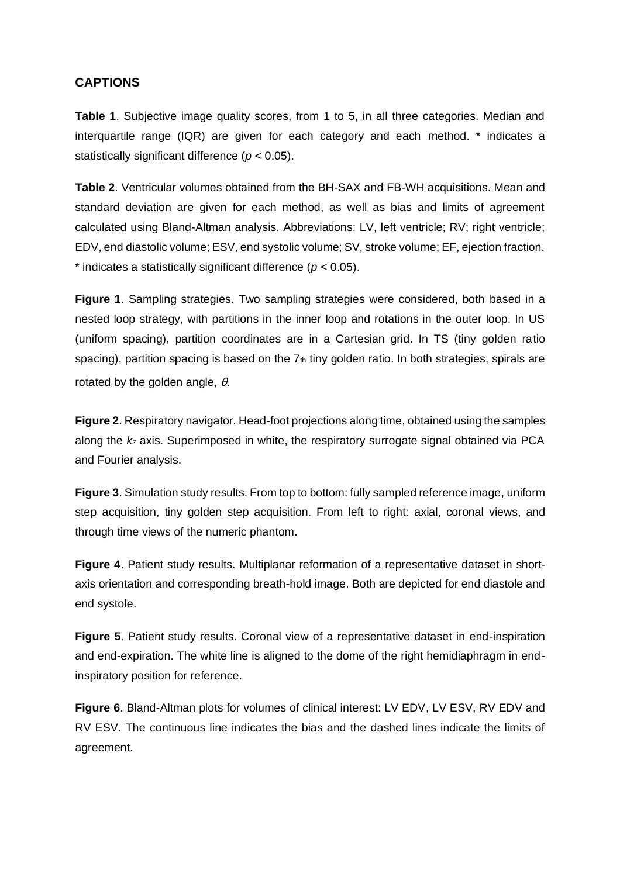## **CAPTIONS**

**Table 1**. Subjective image quality scores, from 1 to 5, in all three categories. Median and interquartile range (IQR) are given for each category and each method. \* indicates a statistically significant difference (*p* < 0.05).

**Table 2**. Ventricular volumes obtained from the BH-SAX and FB-WH acquisitions. Mean and standard deviation are given for each method, as well as bias and limits of agreement calculated using Bland-Altman analysis. Abbreviations: LV, left ventricle; RV; right ventricle; EDV, end diastolic volume; ESV, end systolic volume; SV, stroke volume; EF, ejection fraction. \* indicates a statistically significant difference (*p* < 0.05).

**Figure 1**. Sampling strategies. Two sampling strategies were considered, both based in a nested loop strategy, with partitions in the inner loop and rotations in the outer loop. In US (uniform spacing), partition coordinates are in a Cartesian grid. In TS (tiny golden ratio spacing), partition spacing is based on the  $7<sub>th</sub>$  tiny golden ratio. In both strategies, spirals are rotated by the golden angle,  $\theta$ .

**Figure 2**. Respiratory navigator. Head-foot projections along time, obtained using the samples along the *k<sup>z</sup>* axis. Superimposed in white, the respiratory surrogate signal obtained via PCA and Fourier analysis.

**Figure 3**. Simulation study results. From top to bottom: fully sampled reference image, uniform step acquisition, tiny golden step acquisition. From left to right: axial, coronal views, and through time views of the numeric phantom.

**Figure 4**. Patient study results. Multiplanar reformation of a representative dataset in shortaxis orientation and corresponding breath-hold image. Both are depicted for end diastole and end systole.

**Figure 5**. Patient study results. Coronal view of a representative dataset in end-inspiration and end-expiration. The white line is aligned to the dome of the right hemidiaphragm in endinspiratory position for reference.

**Figure 6**. Bland-Altman plots for volumes of clinical interest: LV EDV, LV ESV, RV EDV and RV ESV. The continuous line indicates the bias and the dashed lines indicate the limits of agreement.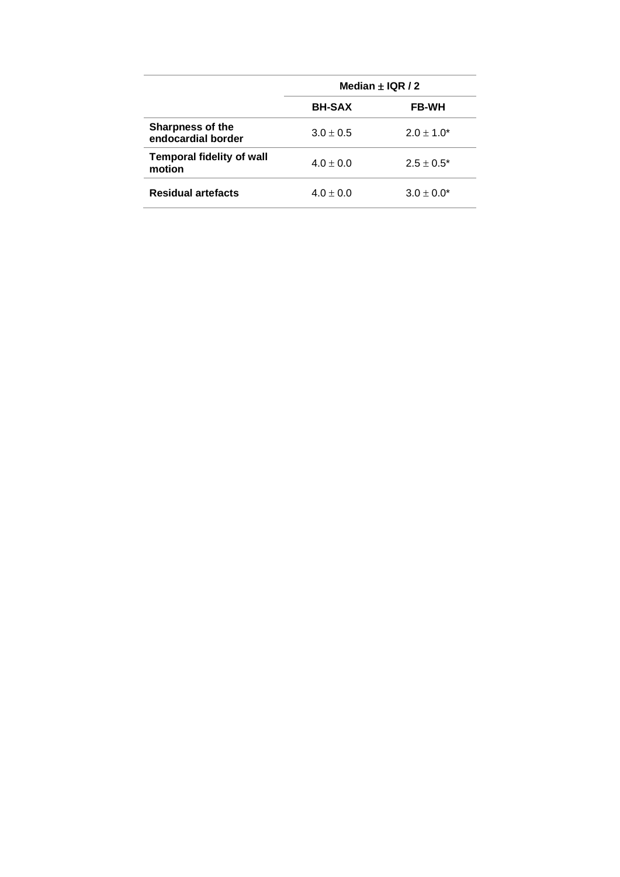|                                               | Median $\pm$ IQR / 2 |                 |
|-----------------------------------------------|----------------------|-----------------|
|                                               | <b>BH-SAX</b>        | <b>FB-WH</b>    |
| <b>Sharpness of the</b><br>endocardial border | $3.0 \pm 0.5$        | $2.0 \pm 1.0^*$ |
| Temporal fidelity of wall<br>motion           | $4.0 \pm 0.0$        | $2.5 \pm 0.5^*$ |
| <b>Residual artefacts</b>                     | $4.0 \pm 0.0$        | $3.0 \pm 0.0^*$ |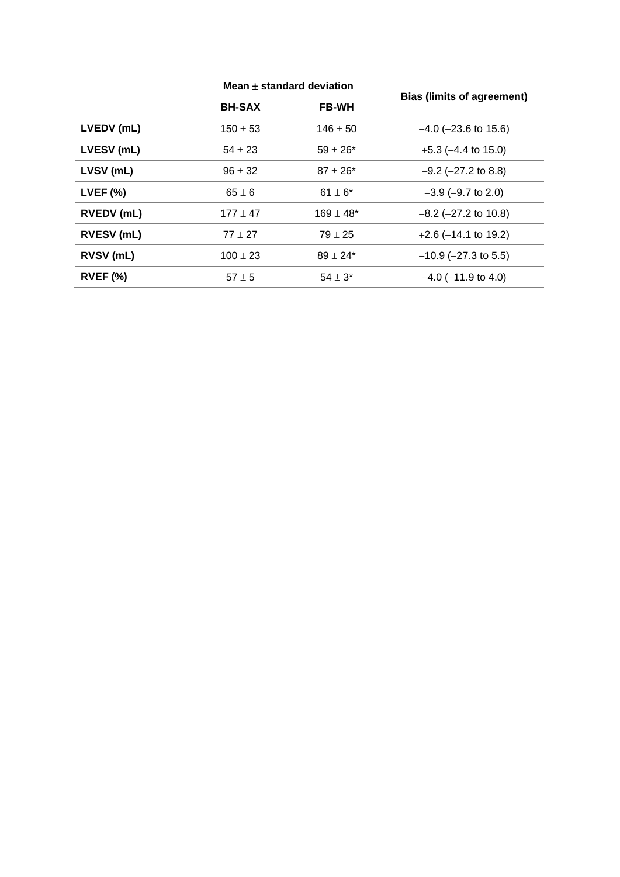|                 | Mean $\pm$ standard deviation |                           |                                   |
|-----------------|-------------------------------|---------------------------|-----------------------------------|
|                 | <b>BH-SAX</b>                 | <b>FB-WH</b>              | <b>Bias (limits of agreement)</b> |
| LVEDV (mL)      | $150 \pm 53$                  | $146 \pm 50$              | $-4.0$ ( $-23.6$ to 15.6)         |
| LVESV (mL)      | $54 \pm 23$                   | $59 \pm 26*$              | $+5.3$ (-4.4 to 15.0)             |
| LVSV (mL)       | $96 \pm 32$                   | $87 \pm 26*$              | $-9.2$ ( $-27.2$ to 8.8)          |
| <b>LVEF (%)</b> | $65 \pm 6$                    | $61 \pm 6^*$              | $-3.9$ ( $-9.7$ to 2.0)           |
| RVEDV (mL)      | $177 \pm 47$                  | $169 \pm 48$ <sup>*</sup> | $-8.2$ ( $-27.2$ to 10.8)         |
| RVESV (mL)      | $77 + 27$                     | $79 \pm 25$               | $+2.6$ (-14.1 to 19.2)            |
| RVSV (mL)       | $100 \pm 23$                  | $89 \pm 24*$              | $-10.9$ ( $-27.3$ to 5.5)         |
| <b>RVEF (%)</b> | $57 \pm 5$                    | $54 \pm 3^*$              | $-4.0$ ( $-11.9$ to 4.0)          |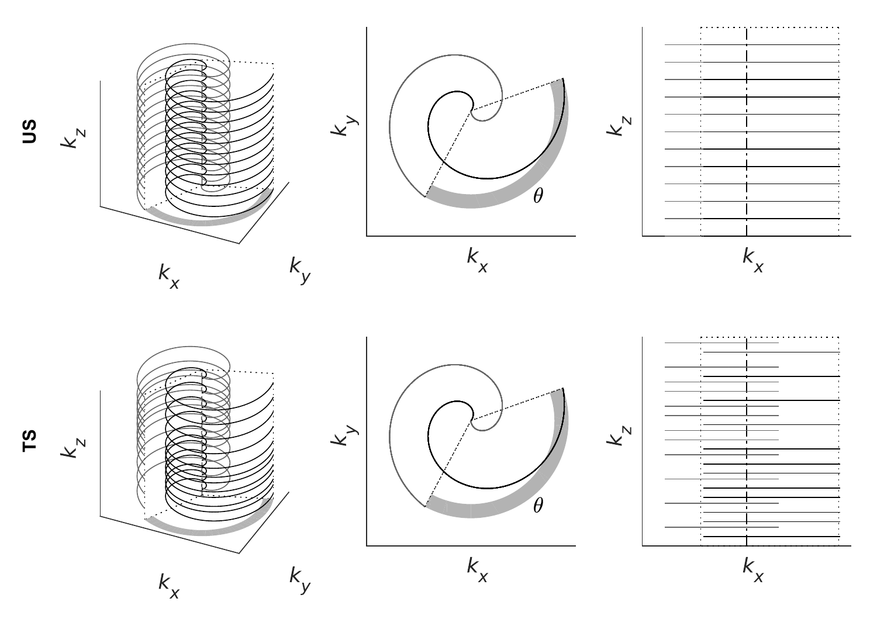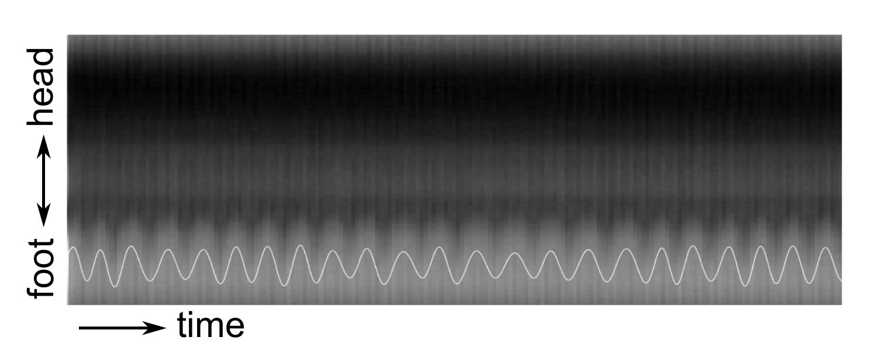

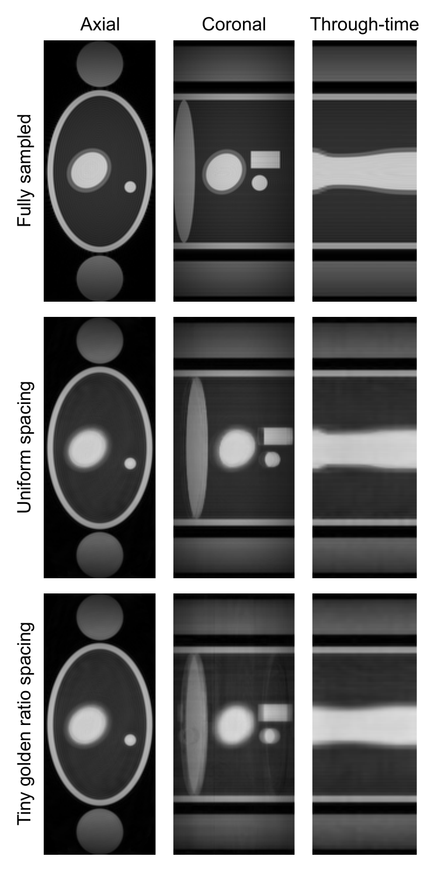# Tiny golden ratio spacing Tiny golden ratio spacing









# Axial Coronal Through-time